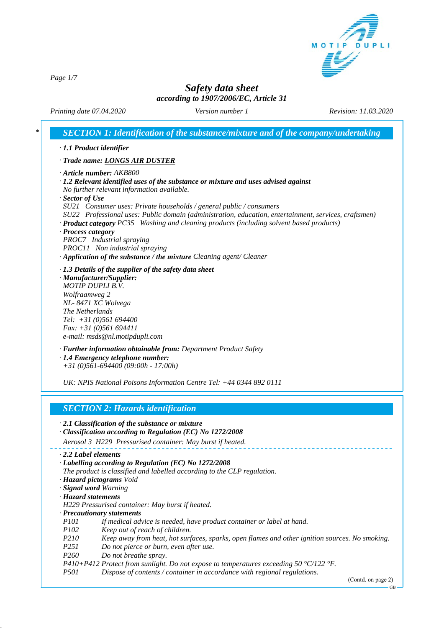

*Page 1/7*

# *Safety data sheet according to 1907/2006/EC, Article 31*

*Printing date 07.04.2020 Revision: 11.03.2020 Version number 1*

| $\cdot$ Article number: AKB800                             | · Trade name: LONGS AIR DUSTER                                                                                                                                               |
|------------------------------------------------------------|------------------------------------------------------------------------------------------------------------------------------------------------------------------------------|
|                                                            |                                                                                                                                                                              |
|                                                            |                                                                                                                                                                              |
|                                                            | $\cdot$ 1.2 Relevant identified uses of the substance or mixture and uses advised against                                                                                    |
|                                                            | No further relevant information available.                                                                                                                                   |
| · Sector of Use                                            |                                                                                                                                                                              |
|                                                            | SU21 Consumer uses: Private households / general public / consumers<br>SU22 Professional uses: Public domain (administration, education, entertainment, services, craftsmen) |
|                                                            | · Product category PC35 Washing and cleaning products (including solvent based products)                                                                                     |
| · Process category                                         |                                                                                                                                                                              |
| PROC7 Industrial spraying                                  |                                                                                                                                                                              |
| PROC11 Non industrial spraying                             |                                                                                                                                                                              |
|                                                            | · Application of the substance / the mixture Cleaning agent/ Cleaner                                                                                                         |
|                                                            | $\cdot$ 1.3 Details of the supplier of the safety data sheet                                                                                                                 |
| · Manufacturer/Supplier:                                   |                                                                                                                                                                              |
| <b>MOTIP DUPLI B.V.</b>                                    |                                                                                                                                                                              |
| Wolfraamweg 2                                              |                                                                                                                                                                              |
| NL-8471 XC Wolvega                                         |                                                                                                                                                                              |
| The Netherlands                                            |                                                                                                                                                                              |
| Tel: $+31(0)561694400$                                     |                                                                                                                                                                              |
| Fax: $+31$ (0)561 694411<br>e-mail: msds@nl.motipdupli.com |                                                                                                                                                                              |
|                                                            |                                                                                                                                                                              |
|                                                            | · Further information obtainable from: Department Product Safety                                                                                                             |
| $\cdot$ 1.4 Emergency telephone number:                    | $+31(0)561-694400(09:00h - 17:00h)$                                                                                                                                          |
|                                                            |                                                                                                                                                                              |
|                                                            | UK: NPIS National Poisons Information Centre Tel: +44 0344 892 0111                                                                                                          |

- *· 2.1 Classification of the substance or mixture*
- *· Classification according to Regulation (EC) No 1272/2008*

*Aerosol 3 H229 Pressurised container: May burst if heated.*

```
· 2.2 Label elements
```
- *· Labelling according to Regulation (EC) No 1272/2008*
- *The product is classified and labelled according to the CLP regulation.*
- *· Hazard pictograms Void*
- *· Signal word Warning*
- *· Hazard statements*

*H229 Pressurised container: May burst if heated.*

- *· Precautionary statements*
- *P101 If medical advice is needed, have product container or label at hand.*
- *P102 Keep out of reach of children.*
- *P210 Keep away from heat, hot surfaces, sparks, open flames and other ignition sources. No smoking.*
- *P251 Do not pierce or burn, even after use.*
- *P260 Do not breathe spray.*

*P410+P412 Protect from sunlight. Do not expose to temperatures exceeding 50 °C/122 °F.*

*P501 Dispose of contents / container in accordance with regional regulations.*

(Contd. on page 2)

GB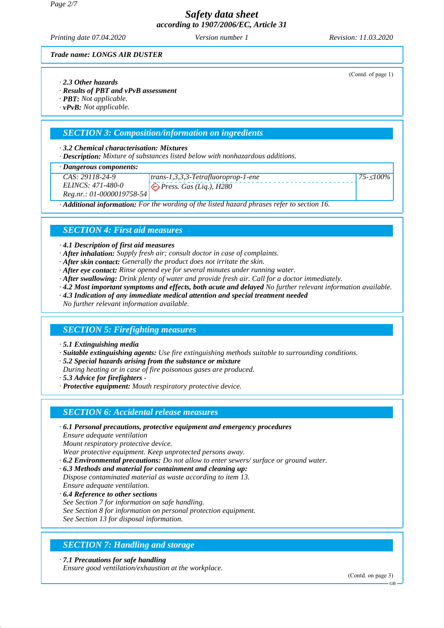*Page 2/7*

# *Safety data sheet according to 1907/2006/EC, Article 31*

*Printing date 07.04.2020 Revision: 11.03.2020 Version number 1*

(Contd. of page 1)

*75-*≤*100%*

*Trade name: LONGS AIR DUSTER*

- *· 2.3 Other hazards*
- *· Results of PBT and vPvB assessment*
- *· PBT: Not applicable.*
- *· vPvB: Not applicable.*

### *SECTION 3: Composition/information on ingredients*

### *· 3.2 Chemical characterisation: Mixtures*

*· Description: Mixture of substances listed below with nonhazardous additions.*

### *· Dangerous components:*

*CAS: 29118-24-9 ELINCS: 471-480-0*

*Reg.nr.: 01-0000019758-54 trans-1,3,3,3-Tetrafluoroprop-1-ene Press. Gas (Liq.), H280*

*· Additional information: For the wording of the listed hazard phrases refer to section 16.*

# *SECTION 4: First aid measures*

### *· 4.1 Description of first aid measures*

- *· After inhalation: Supply fresh air; consult doctor in case of complaints.*
- *· After skin contact: Generally the product does not irritate the skin.*
- *· After eye contact: Rinse opened eye for several minutes under running water.*
- *· After swallowing: Drink plenty of water and provide fresh air. Call for a doctor immediately.*
- *· 4.2 Most important symptoms and effects, both acute and delayed No further relevant information available.*
- *· 4.3 Indication of any immediate medical attention and special treatment needed*
- *No further relevant information available.*

## *SECTION 5: Firefighting measures*

*· 5.1 Extinguishing media*

*· Suitable extinguishing agents: Use fire extinguishing methods suitable to surrounding conditions.*

- *· 5.2 Special hazards arising from the substance or mixture*
- *During heating or in case of fire poisonous gases are produced.*
- *· 5.3 Advice for firefighters*
- *· Protective equipment: Mouth respiratory protective device.*

## *SECTION 6: Accidental release measures*

*· 6.1 Personal precautions, protective equipment and emergency procedures Ensure adequate ventilation*

*Mount respiratory protective device.*

*Wear protective equipment. Keep unprotected persons away.*

- *· 6.2 Environmental precautions: Do not allow to enter sewers/ surface or ground water.*
- *· 6.3 Methods and material for containment and cleaning up: Dispose contaminated material as waste according to item 13. Ensure adequate ventilation.*
- *· 6.4 Reference to other sections See Section 7 for information on safe handling.*
- *See Section 8 for information on personal protection equipment.*

*See Section 13 for disposal information.*

# *SECTION 7: Handling and storage*

*· 7.1 Precautions for safe handling*

*Ensure good ventilation/exhaustion at the workplace.*

(Contd. on page 3)

GB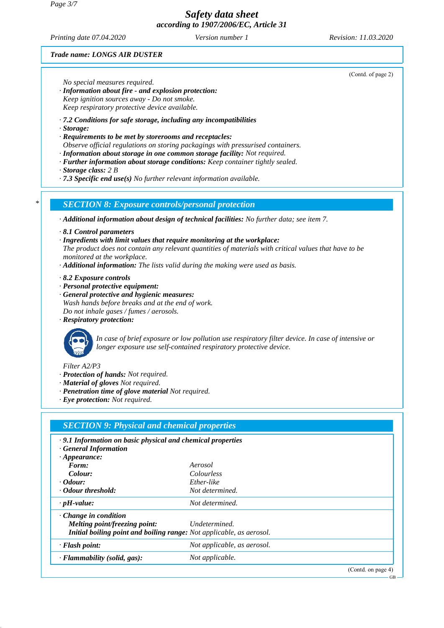#### *Page 3/7*

*Safety data sheet according to 1907/2006/EC, Article 31*

*Printing date 07.04.2020 Revision: 11.03.2020 Version number 1*

*Trade name: LONGS AIR DUSTER*

*No special measures required.*

- *· Information about fire and explosion protection: Keep ignition sources away - Do not smoke. Keep respiratory protective device available.*
- *· 7.2 Conditions for safe storage, including any incompatibilities*
- *· Storage:*
- *· Requirements to be met by storerooms and receptacles:*
- *Observe official regulations on storing packagings with pressurised containers.*
- *· Information about storage in one common storage facility: Not required.*
- *· Further information about storage conditions: Keep container tightly sealed.*
- *· Storage class: 2 B*
- *· 7.3 Specific end use(s) No further relevant information available.*

*\* SECTION 8: Exposure controls/personal protection*

- *· Additional information about design of technical facilities: No further data; see item 7.*
- *· 8.1 Control parameters*
- *· Ingredients with limit values that require monitoring at the workplace:*
- *The product does not contain any relevant quantities of materials with critical values that have to be monitored at the workplace.*
- *· Additional information: The lists valid during the making were used as basis.*
- *· 8.2 Exposure controls*
- *· Personal protective equipment:*
- *· General protective and hygienic measures: Wash hands before breaks and at the end of work. Do not inhale gases / fumes / aerosols.*
- *· Respiratory protection:*



*In case of brief exposure or low pollution use respiratory filter device. In case of intensive or longer exposure use self-contained respiratory protective device.*

*Filter A2/P3*

- *· Protection of hands: Not required.*
- *· Material of gloves Not required.*
- *· Penetration time of glove material Not required.*
- *· Eye protection: Not required.*

| <b>SECTION 9: Physical and chemical properties</b>                   |                             |                    |  |  |
|----------------------------------------------------------------------|-----------------------------|--------------------|--|--|
| $\cdot$ 9.1 Information on basic physical and chemical properties    |                             |                    |  |  |
| · General Information                                                |                             |                    |  |  |
| $\cdot$ Appearance:                                                  |                             |                    |  |  |
| Form:                                                                | Aerosol                     |                    |  |  |
| Colour:                                                              | <i>Colourless</i>           |                    |  |  |
| <i>Colour:</i>                                                       | Ether-like                  |                    |  |  |
| Odour threshold:                                                     | Not determined.             |                    |  |  |
| $\cdot$ pH-value:                                                    | Not determined.             |                    |  |  |
| $\cdot$ Change in condition                                          |                             |                    |  |  |
| Melting point/freezing point:                                        | Undetermined.               |                    |  |  |
| Initial boiling point and boiling range: Not applicable, as aerosol. |                             |                    |  |  |
| $\cdot$ Flash point:                                                 | Not applicable, as aerosol. |                    |  |  |
| $\cdot$ Flammability (solid, gas):                                   | Not applicable.             |                    |  |  |
|                                                                      |                             | (Contd. on page 4) |  |  |

(Contd. of page 2)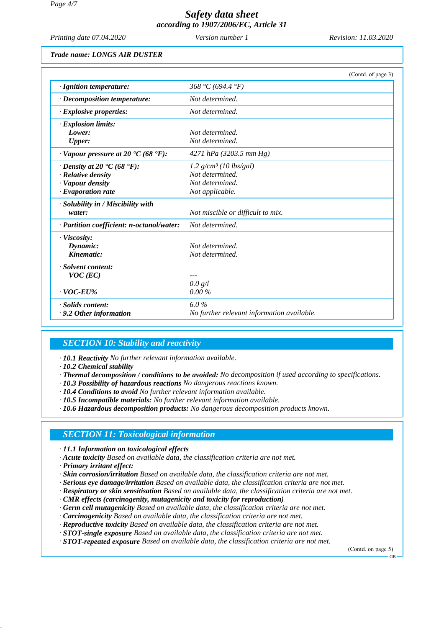*Page 4/7*

# *Safety data sheet according to 1907/2006/EC, Article 31*

*Printing date 07.04.2020 Revision: 11.03.2020 Version number 1*

*Trade name: LONGS AIR DUSTER*

|                                                         | (Contd. of page 3)                         |
|---------------------------------------------------------|--------------------------------------------|
| · Ignition temperature:                                 | 368 °C (694.4 °F)                          |
| · Decomposition temperature:                            | Not determined.                            |
| $\cdot$ Explosive properties:                           | Not determined.                            |
| · Explosion limits:                                     |                                            |
| Lower:                                                  | Not determined.                            |
| <b>Upper:</b>                                           | Not determined.                            |
| $\cdot$ Vapour pressure at 20 $\cdot$ C (68 $\cdot$ F): | 4271 hPa (3203.5 mm Hg)                    |
| $\cdot$ Density at 20 $\cdot$ C (68 $\cdot$ F):         | 1.2 $g/cm^3$ (10 lbs/gal)                  |
| $\cdot$ Relative density                                | Not determined.                            |
| · Vapour density                                        | Not determined.                            |
| $\cdot$ Evaporation rate                                | Not applicable.                            |
| · Solubility in / Miscibility with                      |                                            |
| water:                                                  | Not miscible or difficult to mix.          |
| · Partition coefficient: n-octanol/water:               | Not determined.                            |
| · Viscosity:                                            |                                            |
| Dynamic:                                                | Not determined.                            |
| Kinematic:                                              | Not determined.                            |
| · Solvent content:                                      |                                            |
| $VOC$ (EC)                                              |                                            |
|                                                         | 0.0 g/l                                    |
| $\cdot$ VOC-EU%                                         | 0.00%                                      |
| · Solids content:                                       | 6.0%                                       |
| $\cdot$ 9.2 Other information                           | No further relevant information available. |

### *SECTION 10: Stability and reactivity*

*· 10.1 Reactivity No further relevant information available.*

*· 10.2 Chemical stability*

- *· Thermal decomposition / conditions to be avoided: No decomposition if used according to specifications.*
- *· 10.3 Possibility of hazardous reactions No dangerous reactions known.*
- *· 10.4 Conditions to avoid No further relevant information available.*
- *· 10.5 Incompatible materials: No further relevant information available.*

*· 10.6 Hazardous decomposition products: No dangerous decomposition products known.*

## *SECTION 11: Toxicological information*

*· 11.1 Information on toxicological effects*

- *· Acute toxicity Based on available data, the classification criteria are not met.*
- *· Primary irritant effect:*
- *· Skin corrosion/irritation Based on available data, the classification criteria are not met.*
- *· Serious eye damage/irritation Based on available data, the classification criteria are not met.*
- *· Respiratory or skin sensitisation Based on available data, the classification criteria are not met.*
- *· CMR effects (carcinogenity, mutagenicity and toxicity for reproduction)*
- *· Germ cell mutagenicity Based on available data, the classification criteria are not met.*
- *· Carcinogenicity Based on available data, the classification criteria are not met.*
- *· Reproductive toxicity Based on available data, the classification criteria are not met.*
- *· STOT-single exposure Based on available data, the classification criteria are not met.*
- *· STOT-repeated exposure Based on available data, the classification criteria are not met.*

(Contd. on page 5)

 $\overline{C}$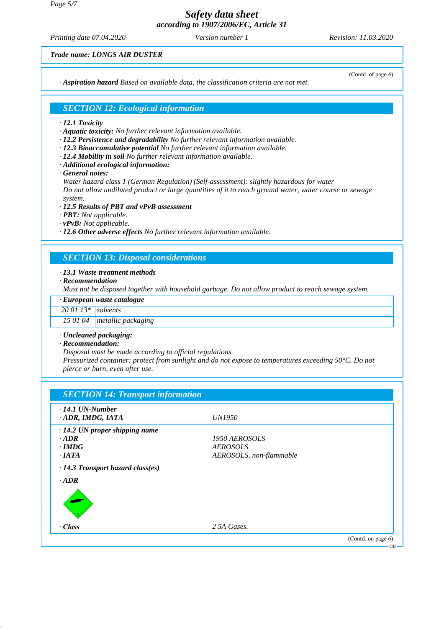*Page 5/7*

*Safety data sheet according to 1907/2006/EC, Article 31*

*Printing date 07.04.2020 Revision: 11.03.2020 Version number 1*

*Trade name: LONGS AIR DUSTER*

*· Aspiration hazard Based on available data, the classification criteria are not met.*

(Contd. of page 4)

## *SECTION 12: Ecological information*

- *· 12.1 Toxicity*
- *· Aquatic toxicity: No further relevant information available.*
- *· 12.2 Persistence and degradability No further relevant information available.*
- *· 12.3 Bioaccumulative potential No further relevant information available.*
- *· 12.4 Mobility in soil No further relevant information available.*
- *· Additional ecological information:*
- *· General notes:*

*Water hazard class 1 (German Regulation) (Self-assessment): slightly hazardous for water Do not allow undiluted product or large quantities of it to reach ground water, water course or sewage system.*

- *· 12.5 Results of PBT and vPvB assessment*
- *· PBT: Not applicable.*
- *· vPvB: Not applicable.*

*· 12.6 Other adverse effects No further relevant information available.*

### *SECTION 13: Disposal considerations*

### *· 13.1 Waste treatment methods*

*· Recommendation*

*Must not be disposed together with household garbage. Do not allow product to reach sewage system.*

*· European waste catalogue 20 01 13\* solvents*

*15 01 04 metallic packaging*

#### *· Uncleaned packaging:*

*· Recommendation:*

*Disposal must be made according to official regulations.*

*Pressurized container: protect from sunlight and do not expose to temperatures exceeding 50°C. Do not pierce or burn, even after use.*

| $\cdot$ 14.1 UN-Number<br>· ADR, IMDG, IATA | <i>UN1950</i>           |  |
|---------------------------------------------|-------------------------|--|
| $\cdot$ 14.2 UN proper shipping name        |                         |  |
| $\cdot$ ADR                                 | 1950 AEROSOLS           |  |
| $\cdot$ IMDG                                | <b>AEROSOLS</b>         |  |
| $\cdot$ IATA                                | AEROSOLS, non-flammable |  |
| $\cdot$ <i>ADR</i>                          |                         |  |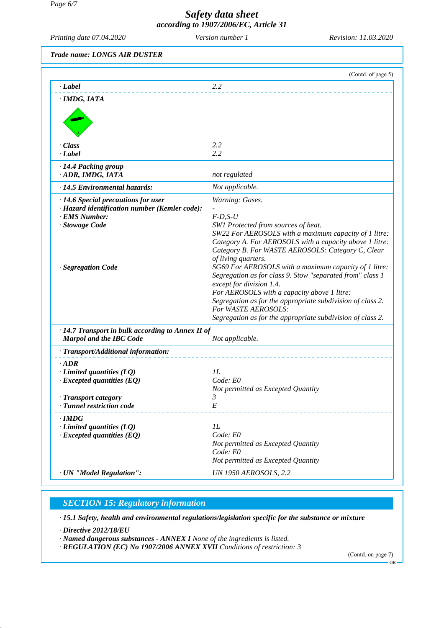*Page 6/7*

# *Safety data sheet according to 1907/2006/EC, Article 31*

*Printing date 07.04.2020 Revision: 11.03.2020 Version number 1*

*Trade name: LONGS AIR DUSTER*

|                                                                                                                                                     | (Contd. of page 5)                                                                                                                                                                                                                                                                                                                                                                                                                                                                                                                                                                                                       |
|-----------------------------------------------------------------------------------------------------------------------------------------------------|--------------------------------------------------------------------------------------------------------------------------------------------------------------------------------------------------------------------------------------------------------------------------------------------------------------------------------------------------------------------------------------------------------------------------------------------------------------------------------------------------------------------------------------------------------------------------------------------------------------------------|
| · Label                                                                                                                                             | 2.2                                                                                                                                                                                                                                                                                                                                                                                                                                                                                                                                                                                                                      |
| · IMDG, IATA                                                                                                                                        |                                                                                                                                                                                                                                                                                                                                                                                                                                                                                                                                                                                                                          |
| $\cdot$ Class<br>· Label                                                                                                                            | 2.2<br>2.2                                                                                                                                                                                                                                                                                                                                                                                                                                                                                                                                                                                                               |
| · 14.4 Packing group<br>· ADR, IMDG, IATA                                                                                                           | not regulated                                                                                                                                                                                                                                                                                                                                                                                                                                                                                                                                                                                                            |
| · 14.5 Environmental hazards:                                                                                                                       | Not applicable.                                                                                                                                                                                                                                                                                                                                                                                                                                                                                                                                                                                                          |
| $\cdot$ 14.6 Special precautions for user<br>· Hazard identification number (Kemler code):<br>· EMS Number:<br>· Stowage Code<br>· Segregation Code | Warning: Gases.<br>$F-D, S-U$<br>SW1 Protected from sources of heat.<br>SW22 For AEROSOLS with a maximum capacity of 1 litre:<br>Category A. For AEROSOLS with a capacity above 1 litre:<br>Category B. For WASTE AEROSOLS: Category C, Clear<br>of living quarters.<br>SG69 For AEROSOLS with a maximum capacity of 1 litre:<br>Segregation as for class 9. Stow "separated from" class 1<br>except for division 1.4.<br>For AEROSOLS with a capacity above 1 litre:<br>Segregation as for the appropriate subdivision of class 2.<br>For WASTE AEROSOLS:<br>Segregation as for the appropriate subdivision of class 2. |
| $\cdot$ 14.7 Transport in bulk according to Annex II of<br><b>Marpol and the IBC Code</b>                                                           | Not applicable.                                                                                                                                                                                                                                                                                                                                                                                                                                                                                                                                                                                                          |
| · Transport/Additional information:                                                                                                                 |                                                                                                                                                                                                                                                                                                                                                                                                                                                                                                                                                                                                                          |
| $\cdot$ ADR<br>$\cdot$ Limited quantities (LQ)<br>$\cdot$ Excepted quantities (EQ)<br>· Transport category<br>· Tunnel restriction code             | IL<br>Code: E0<br>Not permitted as Excepted Quantity<br>3.<br>E                                                                                                                                                                                                                                                                                                                                                                                                                                                                                                                                                          |
| $\cdot$ IMDG<br>$\cdot$ Limited quantities (LQ)<br>$\cdot$ Excepted quantities (EQ)                                                                 | 1L<br>Code: E0<br>Not permitted as Excepted Quantity<br>Code: E0<br>Not permitted as Excepted Quantity                                                                                                                                                                                                                                                                                                                                                                                                                                                                                                                   |
| · UN "Model Regulation":                                                                                                                            | <b>UN 1950 AEROSOLS, 2.2</b>                                                                                                                                                                                                                                                                                                                                                                                                                                                                                                                                                                                             |

# *SECTION 15: Regulatory information*

*· 15.1 Safety, health and environmental regulations/legislation specific for the substance or mixture*

*· Directive 2012/18/EU*

*· Named dangerous substances - ANNEX I None of the ingredients is listed.*

*· REGULATION (EC) No 1907/2006 ANNEX XVII Conditions of restriction: 3*

(Contd. on page 7)

GB